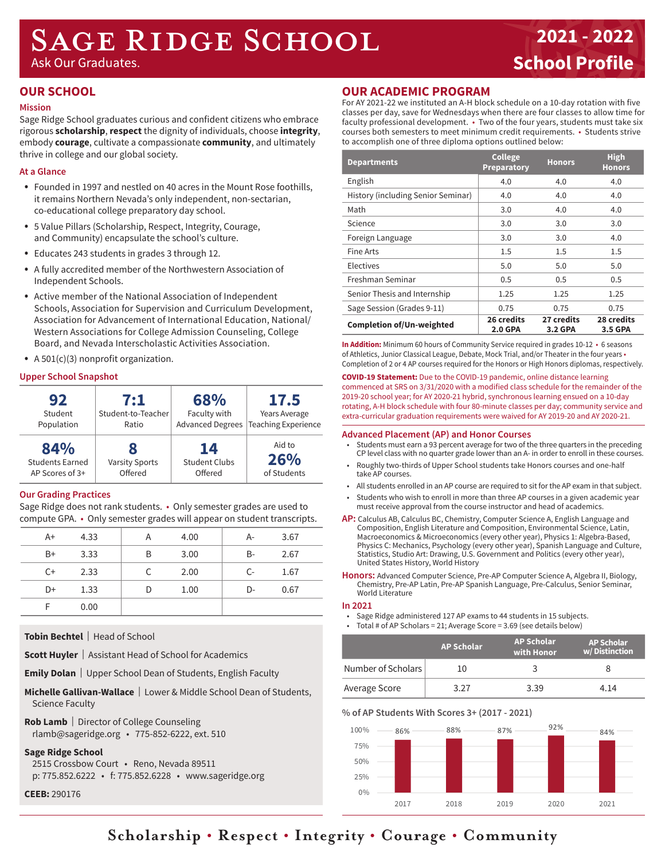# SAGE RIDGE SCHOOL

Ask Our Graduates.

## **2021 - 2022 School Profile**

### **OUR SCHOOL**

### **Mission**

Sage Ridge School graduates curious and confident citizens who embrace rigorous **scholarship**, **respect** the dignity of individuals, choose **integrity**, embody **courage**, cultivate a compassionate **community**, and ultimately thrive in college and our global society.

### **At a Glance**

- Founded in 1997 and nestled on 40 acres in the Mount Rose foothills, it remains Northern Nevada's only independent, non-sectarian, co-educational college preparatory day school.
- 5 Value Pillars (Scholarship, Respect, Integrity, Courage, and Community) encapsulate the school's culture.
- Educates 243 students in grades 3 through 12.
- A fully accredited member of the Northwestern Association of Independent Schools.
- Active member of the National Association of Independent Schools, Association for Supervision and Curriculum Development, Association for Advancement of International Education, National/ Western Associations for College Admission Counseling, College Board, and Nevada Interscholastic Activities Association.
- A  $501(c)(3)$  nonprofit organization.

### **Upper School Snapshot**

| 92<br>Student<br>Population                      | 7:1<br>Student-to-Teacher<br>Ratio | 68%<br>Faculty with                   | <b>17.5</b><br>Years Average<br>Advanced Degrees   Teaching Experience |
|--------------------------------------------------|------------------------------------|---------------------------------------|------------------------------------------------------------------------|
| 84%<br><b>Students Earned</b><br>AP Scores of 3+ | <b>Varsity Sports</b><br>Offered   | 14<br><b>Student Clubs</b><br>Offered | Aid to<br>26%<br>of Students                                           |

### **Our Grading Practices**

Sage Ridge does not rank students. • Only semester grades are used to compute GPA. • Only semester grades will appear on student transcripts.

| $A+$ | 4.33 |   | 4.00 | A-    | 3.67 |  |
|------|------|---|------|-------|------|--|
| $B+$ | 3.33 | B | 3.00 | $B -$ | 2.67 |  |
| $C+$ | 2.33 |   | 2.00 | $C -$ | 1.67 |  |
| D+   | 1.33 | D | 1.00 | D-    | 0.67 |  |
|      | 0.00 |   |      |       |      |  |

**Tobin Bechtel** | Head of School

**Scott Huyler** | Assistant Head of School for Academics

**Emily Dolan** | Upper School Dean of Students, English Faculty

- **Michelle Gallivan-Wallace** | Lower & Middle School Dean of Students, Science Faculty
- **Rob Lamb** | Director of College Counseling rlamb@sageridge.org • 775-852-6222, ext. 510

**Sage Ridge School**

2515 Crossbow Court • Reno, Nevada 89511

p: 775.852.6222 • f: 775.852.6228 • www.sageridge.org

**CEEB:** 290176

### **OUR ACADEMIC PROGRAM**

For AY 2021-22 we instituted an A-H block schedule on a 10-day rotation with five classes per day, save for Wednesdays when there are four classes to allow time for faculty professional development. • Two of the four years, students must take six courses both semesters to meet minimum credit requirements. • Students strive to accomplish one of three diploma options outlined below:

| <b>Departments</b>                 | <b>College</b><br><b>Preparatory</b> | <b>Honors</b>         | <b>High</b><br><b>Honors</b> |
|------------------------------------|--------------------------------------|-----------------------|------------------------------|
| English                            | 4.0                                  | 4.0                   | 4.0                          |
| History (including Senior Seminar) | 4.0                                  | 4.0                   | 4.0                          |
| Math                               | 3.0                                  | 4.0                   | 4.0                          |
| Science                            | 3.0                                  | 3.0                   | 3.0                          |
| Foreign Language                   | 3.0                                  | 3.0                   | 4.0                          |
| Fine Arts                          | 1.5                                  | $1.5\,$               | 1.5                          |
| Electives                          | 5.0                                  | 5.0                   | 5.0                          |
| Freshman Seminar                   | 0.5                                  | 0.5                   | 0.5                          |
| Senior Thesis and Internship       | 1.25                                 | 1.25                  | 1.25                         |
| Sage Session (Grades 9-11)         | 0.75                                 | 0.75                  | 0.75                         |
| <b>Completion of/Un-weighted</b>   | 26 credits<br><b>2.0 GPA</b>         | 27 credits<br>3.2 GPA | <b>28 credits</b><br>3.5 GPA |

**In Addition:** Minimum 60 hours of Community Service required in grades 10-12 • 6 seasons of Athletics, Junior Classical League, Debate, Mock Trial, and/or Theater in the four years • Completion of 2 or 4 AP courses required for the Honors or High Honors diplomas, respectively.

**COVID-19 Statement:** Due to the COVID-19 pandemic, online distance learning commenced at SRS on 3/31/2020 with a modified class schedule for the remainder of the 2019-20 school year; for AY 2020-21 hybrid, synchronous learning ensued on a 10-day rotating, A-H block schedule with four 80-minute classes per day; community service and extra-curricular graduation requirements were waived for AY 2019-20 and AY 2020-21.

#### **Advanced Placement (AP) and Honor Courses**

- Students must earn a 93 percent average for two of the three quarters in the preceding CP level class with no quarter grade lower than an A- in order to enroll in these courses.
- Roughly two-thirds of Upper School students take Honors courses and one-half take AP courses.
- All students enrolled in an AP course are required to sit for the AP exam in that subject.
- Students who wish to enroll in more than three AP courses in a given academic year must receive approval from the course instructor and head of academics.
- **AP:** Calculus AB, Calculus BC, Chemistry, Computer Science A, English Language and Composition, English Literature and Composition, Environmental Science, Latin, Macroeconomics & Microeconomics (every other year), Physics 1: Algebra-Based, Physics C: Mechanics, Psychology (every other year), Spanish Language and Culture, Statistics, Studio Art: Drawing, U.S. Government and Politics (every other year), United States History, World History
- **Honors:** Advanced Computer Science, Pre-AP Computer Science A, Algebra II, Biology, Chemistry, Pre-AP Latin, Pre-AP Spanish Language, Pre-Calculus, Senior Seminar, World Literature

### **In 2021**

- Sage Ridge administered 127 AP exams to 44 students in 15 subjects.
- Total # of AP Scholars = 21; Average Score = 3.69 (see details below)

|                    | <b>AP Scholar</b> | <b>AP Scholar</b><br>with Honor | <b>AP Scholar</b><br>w/Distinction |
|--------------------|-------------------|---------------------------------|------------------------------------|
| Number of Scholars | 10                |                                 |                                    |
| Average Score      | 3 77              | 3 39                            | 4 1 4                              |

### **% of AP Students With Scores 3+ (2017 - 2021)**



### **Scholarship • Respect • Integrity • Courage • Community**